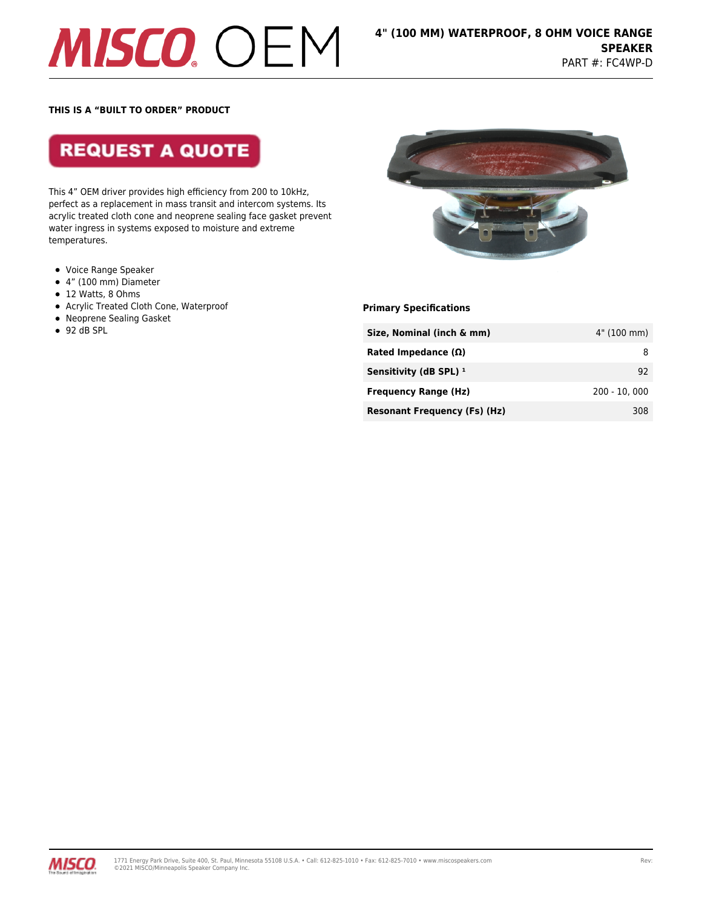# **MISCO** OEM

### **THIS IS A "BUILT TO ORDER" PRODUCT**

**REQUEST A QUOTE** 

This 4" OEM driver provides high efficiency from 200 to 10kHz, perfect as a replacement in mass transit and intercom systems. Its acrylic treated cloth cone and neoprene sealing face gasket prevent water ingress in systems exposed to moisture and extreme temperatures.

- Voice Range Speaker
- 4" (100 mm) Diameter
- $\bullet$  12 Watts, 8 Ohms
- Acrylic Treated Cloth Cone, Waterproof
- Neoprene Sealing Gasket
- $-92$  dB SPL



**Primary Specifications**

| Size, Nominal (inch & mm)           | 4" (100 mm)    |
|-------------------------------------|----------------|
| Rated Impedance $(\Omega)$          | 8              |
| Sensitivity (dB SPL) $1$            | 92             |
| <b>Frequency Range (Hz)</b>         | $200 - 10.000$ |
| <b>Resonant Frequency (Fs) (Hz)</b> | 308            |